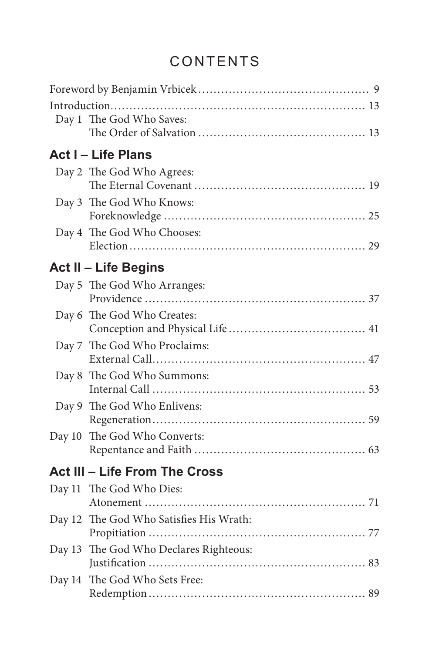## CONTENTS

|        | Day 1 The God Who Saves:                |
|--------|-----------------------------------------|
|        | <b>Act I - Life Plans</b>               |
|        | Day 2 The God Who Agrees:               |
|        | Day 3 The God Who Knows:                |
|        | Day 4 The God Who Chooses:              |
|        | Act II - Life Begins                    |
|        | Day 5 The God Who Arranges:             |
|        | Day 6 The God Who Creates:              |
|        | Day 7 The God Who Proclaims:            |
|        | Day 8 The God Who Summons:              |
|        | Day 9 The God Who Enlivens:             |
|        | Day 10 The God Who Converts:            |
|        | <b>Act III - Life From The Cross</b>    |
|        | Day 11 The God Who Dies:                |
|        | Day 12 The God Who Satisfies His Wrath: |
|        | Day 13 The God Who Declares Righteous:  |
| Day 14 | The God Who Sets Free:                  |
|        |                                         |